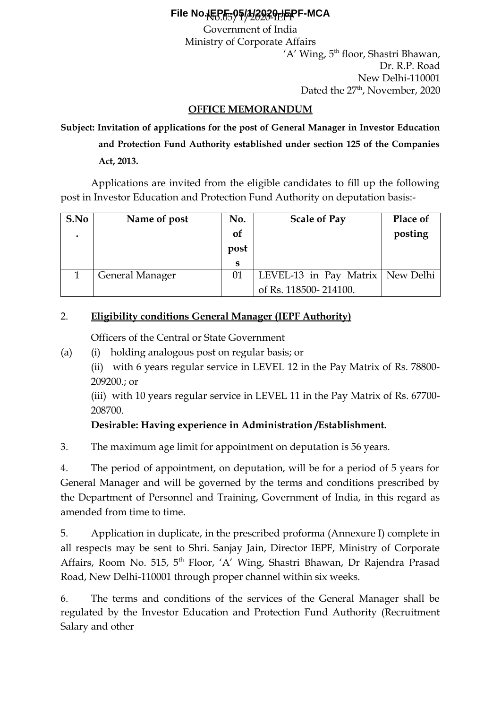# No.05/1/2020-IEPF **File No.IEPF-05/1/2020-IEPF-MCA**

Government of India Ministry of Corporate Affairs 'A' Wing, 5<sup>th</sup> floor, Shastri Bhawan, Dr. R.P. Road New Delhi-110001 Dated the 27<sup>th</sup>, November, 2020

## **OFFICE MEMORANDUM**

**Subject: Invitation of applications for the post of General Manager in Investor Education and Protection Fund Authority established under section 125 of the Companies Act, 2013.**

Applications are invited from the eligible candidates to fill up the following post in Investor Education and Protection Fund Authority on deputation basis:-

| S.No | Name of post           | No.  | <b>Scale of Pay</b>                | <b>Place of</b> |
|------|------------------------|------|------------------------------------|-----------------|
|      |                        | of   |                                    | posting         |
|      |                        | post |                                    |                 |
|      |                        | S    |                                    |                 |
|      | <b>General Manager</b> | 01   | LEVEL-13 in Pay Matrix   New Delhi |                 |
|      |                        |      | of Rs. 118500-214100.              |                 |

### 2. **Eligibility conditions General Manager (IEPF Authority)**

Officers of the Central or State Government

- (a) (i) holding analogous post on regular basis; or
	- (ii) with 6 years regular service in LEVEL 12 in the Pay Matrix of Rs. 78800- 209200.; or

(iii) with 10 years regular service in LEVEL 11 in the Pay Matrix of Rs. 67700- 208700.

## **Desirable: Having experience in Administration /Establishment.**

3. The maximum age limit for appointment on deputation is 56 years.

4. The period of appointment, on deputation, will be for a period of 5 years for General Manager and will be governed by the terms and conditions prescribed by the Department of Personnel and Training, Government of India, in this regard as amended from time to time.

5. Application in duplicate, in the prescribed proforma (Annexure I) complete in all respects may be sent to Shri. Sanjay Jain, Director IEPF, Ministry of Corporate Affairs, Room No. 515, 5<sup>th</sup> Floor, 'A' Wing, Shastri Bhawan, Dr Rajendra Prasad Road, New Delhi-110001 through proper channel within six weeks.

6. The terms and conditions of the services of the General Manager shall be regulated by the Investor Education and Protection Fund Authority (Recruitment Salary and other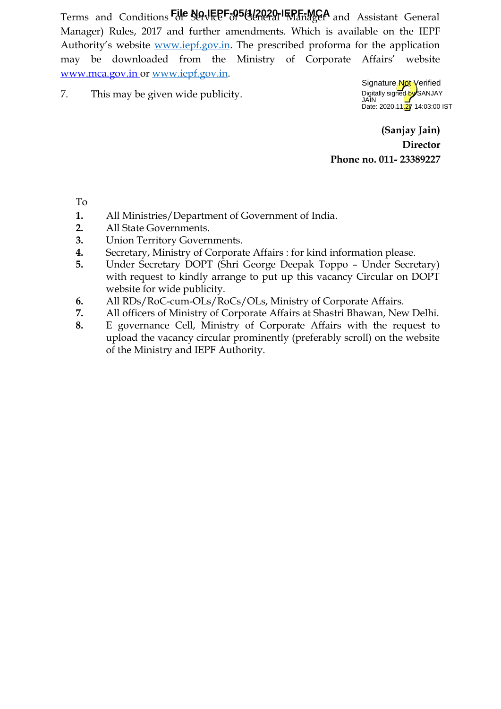Terms and Conditions File No.IEPF-05(1/2020-IEPF-MCA and Assistant General Manager) Rules, 2017 and further amendments. Which is available on the IEPF Authority's website [www.iepf.gov.in](http://www.iepf.gov.in/). The prescribed proforma for the application may be downloaded from the Ministry of Corporate Affairs' website  [www.mca.gov.in](http://www.mca.gov.in/) or [www.iepf.gov.in.](http://www.iepf.gov.in/)

7. This may be given wide publicity.



**(Sanjay Jain) Director Phone no. 011- 23389227**

To

- **1.** All Ministries/Department of Government of India.
- **2.** All State Governments.
- **3.** Union Territory Governments.
- **4.** Secretary, Ministry of Corporate Affairs : for kind information please.
- **5.** Under Secretary DOPT (Shri George Deepak Toppo Under Secretary) with request to kindly arrange to put up this vacancy Circular on DOPT website for wide publicity.
- **6.** All RDs/RoC-cum-OLs/RoCs/OLs, Ministry of Corporate Affairs.
- **7.** All officers of Ministry of Corporate Affairs at Shastri Bhawan, New Delhi.
- **8.** E governance Cell, Ministry of Corporate Affairs with the request to upload the vacancy circular prominently (preferably scroll) on the website of the Ministry and IEPF Authority.